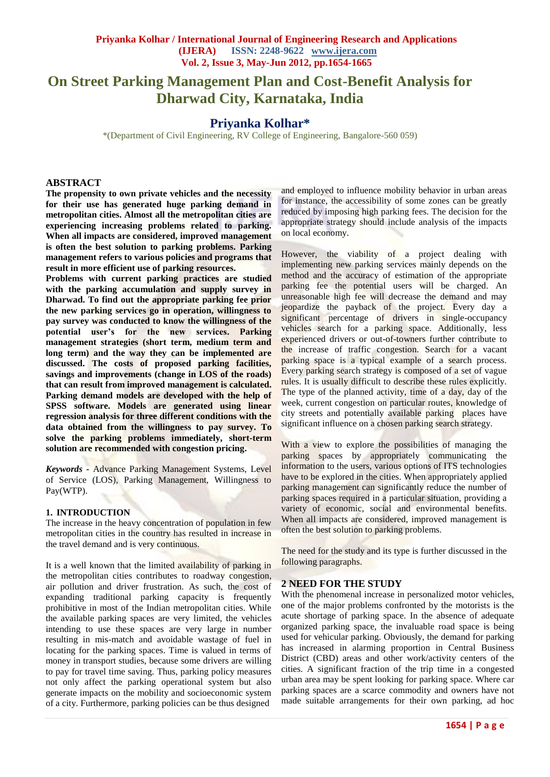# **On Street Parking Management Plan and Cost-Benefit Analysis for Dharwad City, Karnataka, India**

# **Priyanka Kolhar\***

\*(Department of Civil Engineering, RV College of Engineering, Bangalore-560 059)

#### **ABSTRACT**

**The propensity to own private vehicles and the necessity for their use has generated huge parking demand in metropolitan cities. Almost all the metropolitan cities are experiencing increasing problems related to parking. When all impacts are considered, improved management is often the best solution to parking problems. Parking management refers to various policies and programs that result in more efficient use of parking resources.** 

**Problems with current parking practices are studied with the parking accumulation and supply survey in Dharwad. To find out the appropriate parking fee prior the new parking services go in operation, willingness to pay survey was conducted to know the willingness of the potential user's for the new services. Parking management strategies (short term, medium term and long term) and the way they can be implemented are discussed. The costs of proposed parking facilities, savings and improvements (change in LOS of the roads) that can result from improved management is calculated. Parking demand models are developed with the help of SPSS software. Models are generated using linear regression analysis for three different conditions with the data obtained from the willingness to pay survey. To solve the parking problems immediately, short-term solution are recommended with congestion pricing.** 

*Keywords* **-** Advance Parking Management Systems, Level of Service (LOS), Parking Management, Willingness to Pay(WTP).

#### **1. INTRODUCTION**

The increase in the heavy concentration of population in few metropolitan cities in the country has resulted in increase in the travel demand and is very continuous.

It is a well known that the limited availability of parking in the metropolitan cities contributes to roadway congestion, air pollution and driver frustration. As such, the cost of expanding traditional parking capacity is frequently prohibitive in most of the Indian metropolitan cities. While the available parking spaces are very limited, the vehicles intending to use these spaces are very large in number resulting in mis-match and avoidable wastage of fuel in locating for the parking spaces. Time is valued in terms of money in transport studies, because some drivers are willing to pay for travel time saving. Thus, parking policy measures not only affect the parking operational system but also generate impacts on the mobility and socioeconomic system of a city. Furthermore, parking policies can be thus designed

and employed to influence mobility behavior in urban areas for instance, the accessibility of some zones can be greatly reduced by imposing high parking fees. The decision for the appropriate strategy should include analysis of the impacts on local economy.

However, the viability of a project dealing with implementing new parking services mainly depends on the method and the accuracy of estimation of the appropriate parking fee the potential users will be charged. An unreasonable high fee will decrease the demand and may jeopardize the payback of the project. Every day a significant percentage of drivers in single-occupancy vehicles search for a parking space. Additionally, less experienced drivers or out-of-towners further contribute to the increase of traffic congestion. Search for a vacant parking space is a typical example of a search process. Every parking search strategy is composed of a set of vague rules. It is usually difficult to describe these rules explicitly. The type of the planned activity, time of a day, day of the week, current congestion on particular routes, knowledge of city streets and potentially available parking places have significant influence on a chosen parking search strategy.

With a view to explore the possibilities of managing the parking spaces by appropriately communicating the information to the users, various options of ITS technologies have to be explored in the cities. When appropriately applied parking management can significantly reduce the number of parking spaces required in a particular situation, providing a variety of economic, social and environmental benefits. When all impacts are considered, improved management is often the best solution to parking problems.

The need for the study and its type is further discussed in the following paragraphs.

# **2 NEED FOR THE STUDY**

With the phenomenal increase in personalized motor vehicles, one of the major problems confronted by the motorists is the acute shortage of parking space. In the absence of adequate organized parking space, the invaluable road space is being used for vehicular parking. Obviously, the demand for parking has increased in alarming proportion in Central Business District (CBD) areas and other work/activity centers of the cities. A significant fraction of the trip time in a congested urban area may be spent looking for parking space. Where car parking spaces are a scarce commodity and owners have not made suitable arrangements for their own parking, ad hoc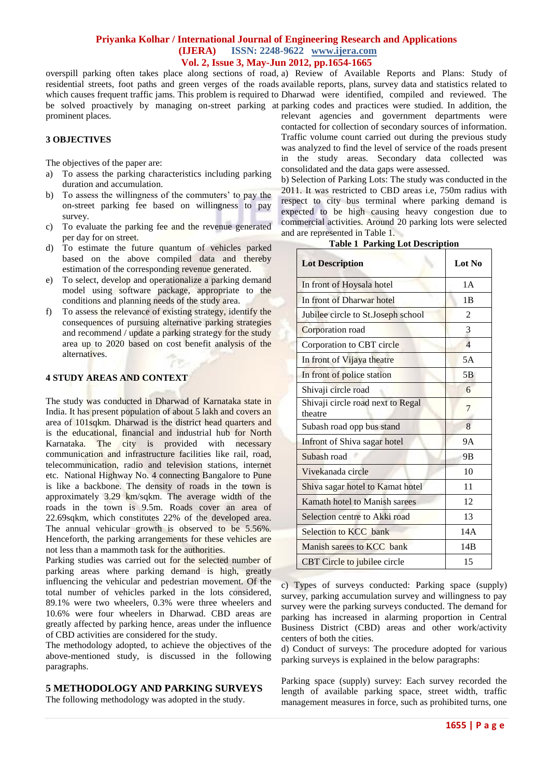#### **Priyanka Kolhar / International Journal of Engineering Research and Applications (IJERA) ISSN: 2248-9622 www.ijera.com Vol. 2, Issue 3, May-Jun 2012, pp.1654-1665**

overspill parking often takes place along sections of road, a) Review of Available Reports and Plans: Study of residential streets, foot paths and green verges of the roads available reports, plans, survey data and statistics related to which causes frequent traffic jams. This problem is required to Dharwad were identified, compiled and reviewed. The be solved proactively by managing on-street parking at parking codes and practices were studied. In addition, the prominent places. relevant agencies and government departments were

### **3 OBJECTIVES**

The objectives of the paper are:

- a) To assess the parking characteristics including parking duration and accumulation.
- b) To assess the willingness of the commuters' to pay the on-street parking fee based on willingness to pay survey.
- c) To evaluate the parking fee and the revenue generated per day for on street.
- d) To estimate the future quantum of vehicles parked based on the above compiled data and thereby estimation of the corresponding revenue generated.
- e) To select, develop and operationalize a parking demand model using software package, appropriate to the conditions and planning needs of the study area.
- f) To assess the relevance of existing strategy, identify the consequences of pursuing alternative parking strategies and recommend / update a parking strategy for the study area up to 2020 based on cost benefit analysis of the alternatives.

#### **4 STUDY AREAS AND CONTEXT**

The study was conducted in Dharwad of Karnataka state in India. It has present population of about 5 lakh and covers an area of 101sqkm. Dharwad is the district head quarters and is the educational, financial and industrial hub for North Karnataka. The city is provided with necessary communication and infrastructure facilities like rail, road, telecommunication, radio and television stations, internet etc.National Highway No. 4 connecting Bangalore to Pune is like a backbone. The density of roads in the town is approximately 3.29 km/sqkm. The average width of the roads in the town is 9.5m. Roads cover an area of 22.69sqkm, which constitutes 22% of the developed area. The annual vehicular growth is observed to be 5.56%. Henceforth, the parking arrangements for these vehicles are not less than a mammoth task for the authorities.

Parking studies was carried out for the selected number of parking areas where parking demand is high, greatly influencing the vehicular and pedestrian movement. Of the total number of vehicles parked in the lots considered, 89.1% were two wheelers, 0.3% were three wheelers and 10.6% were four wheelers in Dharwad. CBD areas are greatly affected by parking hence, areas under the influence of CBD activities are considered for the study.

The methodology adopted, to achieve the objectives of the above-mentioned study, is discussed in the following paragraphs.

#### **5 METHODOLOGY AND PARKING SURVEYS**

The following methodology was adopted in the study.

contacted for collection of secondary sources of information. Traffic volume count carried out during the previous study was analyzed to find the level of service of the roads present in the study areas. Secondary data collected was consolidated and the data gaps were assessed.

b) Selection of Parking Lots: The study was conducted in the 2011. It was restricted to CBD areas i.e, 750m radius with respect to city bus terminal where parking demand is expected to be high causing heavy congestion due to commercial activities. Around 20 parking lots were selected and are represented in Table 1.

| <b>Lot Description</b>                       | Lot No         |
|----------------------------------------------|----------------|
| In front of Hoysala hotel                    | 1 A            |
| In front of Dharwar hotel                    | 1B             |
| Jubilee circle to St.Joseph school           | $\mathfrak{D}$ |
| Corporation road                             | 3              |
| Corporation to CBT circle                    | $\overline{4}$ |
| In front of Vijaya theatre                   | 5A             |
| In front of police station                   | 5B             |
| Shivaji circle road                          | 6              |
| Shivaji circle road next to Regal<br>theatre | 7              |
| Subash road opp bus stand                    | 8              |
| Infront of Shiva sagar hotel                 | <b>9A</b>      |
| Subash road                                  | 9 <sub>B</sub> |
| Vivekanada circle                            | 10             |
| Shiva sagar hotel to Kamat hotel             | 11             |
| Kamath hotel to Manish sarees                | 12             |
| Selection centre to Akki road                | 13             |
| Selection to KCC bank                        | 14A            |
| Manish sarees to KCC bank                    | 14B            |
| CBT Circle to jubilee circle                 | 15             |

c) Types of surveys conducted: Parking space (supply) survey, parking accumulation survey and willingness to pay survey were the parking surveys conducted. The demand for parking has increased in alarming proportion in Central Business District (CBD) areas and other work/activity centers of both the cities.

d) Conduct of surveys: The procedure adopted for various parking surveys is explained in the below paragraphs:

Parking space (supply) survey: Each survey recorded the length of available parking space, street width, traffic management measures in force, such as prohibited turns, one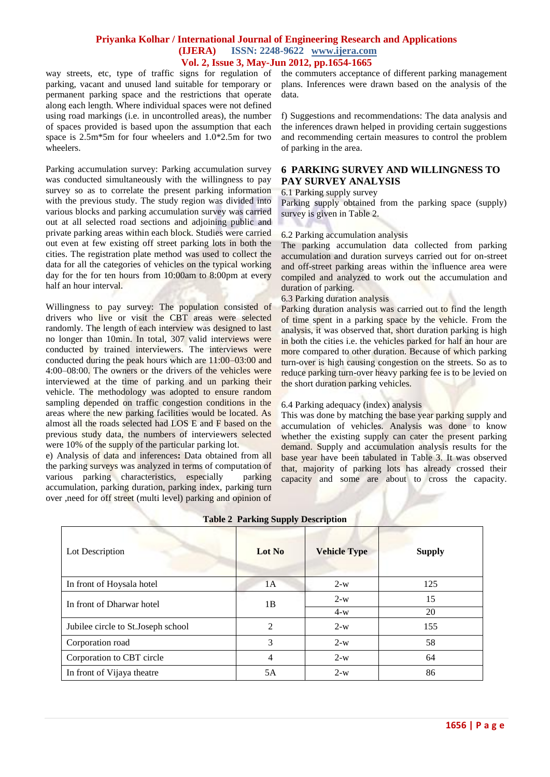# **Priyanka Kolhar / International Journal of Engineering Research and Applications (IJERA) ISSN: 2248-9622 www.ijera.com Vol. 2, Issue 3, May-Jun 2012, pp.1654-1665**

parking, vacant and unused land suitable for temporary or permanent parking space and the restrictions that operate along each length. Where individual spaces were not defined using road markings (i.e. in uncontrolled areas), the number of spaces provided is based upon the assumption that each space is 2.5m\*5m for four wheelers and 1.0\*2.5m for two wheelers.

Parking accumulation survey: Parking accumulation survey was conducted simultaneously with the willingness to pay survey so as to correlate the present parking information with the previous study. The study region was divided into various blocks and parking accumulation survey was carried out at all selected road sections and adjoining public and private parking areas within each block. Studies were carried out even at few existing off street parking lots in both the cities. The registration plate method was used to collect the data for all the categories of vehicles on the typical working day for the for ten hours from 10:00am to 8:00pm at every half an hour interval.

Willingness to pay survey: The population consisted of drivers who live or visit the CBT areas were selected randomly. The length of each interview was designed to last no longer than 10min. In total, 307 valid interviews were conducted by trained interviewers. The interviews were conducted during the peak hours which are 11:00–03:00 and 4:00–08:00. The owners or the drivers of the vehicles were interviewed at the time of parking and un parking their vehicle. The methodology was adopted to ensure random sampling depended on traffic congestion conditions in the areas where the new parking facilities would be located. As almost all the roads selected had LOS E and F based on the previous study data, the numbers of interviewers selected were 10% of the supply of the particular parking lot.

e) Analysis of data and inferences**:** Data obtained from all the parking surveys was analyzed in terms of computation of various parking characteristics, especially parking accumulation, parking duration, parking index, parking turn over ,need for off street (multi level) parking and opinion of

way streets, etc, type of traffic signs for regulation of the commuters acceptance of different parking management plans. Inferences were drawn based on the analysis of the data.

> f) Suggestions and recommendations: The data analysis and the inferences drawn helped in providing certain suggestions and recommending certain measures to control the problem of parking in the area.

# **6 PARKING SURVEY AND WILLINGNESS TO PAY SURVEY ANALYSIS**

#### 6.1 Parking supply survey

Parking supply obtained from the parking space (supply) survey is given in Table 2.

#### 6.2 Parking accumulation analysis

The parking accumulation data collected from parking accumulation and duration surveys carried out for on-street and off-street parking areas within the influence area were compiled and analyzed to work out the accumulation and duration of parking.

#### 6.3 Parking duration analysis

Parking duration analysis was carried out to find the length of time spent in a parking space by the vehicle. From the analysis, it was observed that, short duration parking is high in both the cities i.e. the vehicles parked for half an hour are more compared to other duration. Because of which parking turn-over is high causing congestion on the streets. So as to reduce parking turn-over heavy parking fee is to be levied on the short duration parking vehicles.

#### 6.4 Parking adequacy (index) analysis

This was done by matching the base year parking supply and accumulation of vehicles. Analysis was done to know whether the existing supply can cater the present parking demand. Supply and accumulation analysis results for the base year have been tabulated in Table 3. It was observed that, majority of parking lots has already crossed their capacity and some are about to cross the capacity.

| Lot Description                     | Lot No         | <b>Vehicle Type</b> | <b>Supply</b> |
|-------------------------------------|----------------|---------------------|---------------|
| In front of Hoysala hotel           | 1A             | $2-w$               | 125           |
| In front of Dharwar hotel           | 1B             | $2-w$               | 15            |
|                                     |                | $4-w$               | 20            |
| Jubilee circle to St. Joseph school | $\mathfrak{D}$ | $2-w$               | 155           |
| Corporation road                    | 3              | $2-w$               | 58            |
| Corporation to CBT circle           | 4              | $2-w$               | 64            |
| In front of Vijaya theatre          | 5A             | $2-w$               | 86            |

## **Table 2 Parking Supply Description**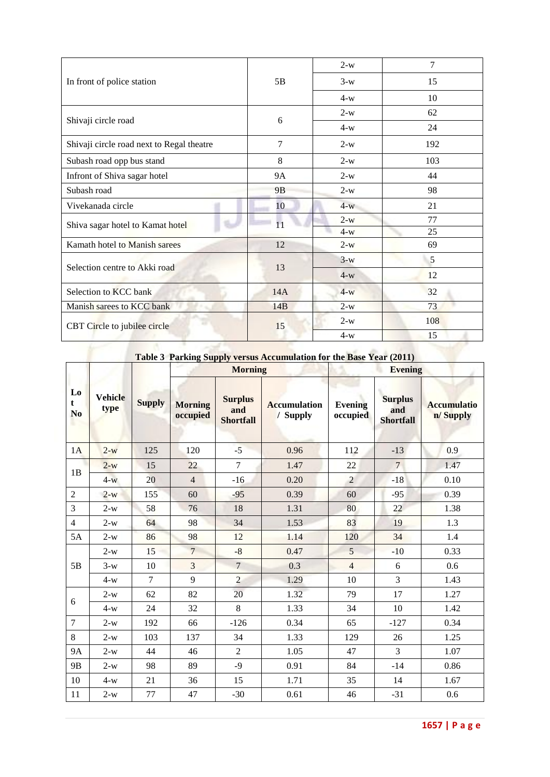| $3-w$<br>$4-w$<br>$2-w$<br>$4-w$<br>$2-w$<br>$2-w$<br>$2-w$<br>$2-w$<br>$4-w$ | 15<br>10<br>62<br>24<br>192<br>103<br>44<br>98<br>21 |
|-------------------------------------------------------------------------------|------------------------------------------------------|
|                                                                               |                                                      |
|                                                                               |                                                      |
|                                                                               |                                                      |
|                                                                               |                                                      |
|                                                                               |                                                      |
|                                                                               |                                                      |
|                                                                               |                                                      |
|                                                                               |                                                      |
|                                                                               |                                                      |
| $2-w$                                                                         | 77                                                   |
| $4-w$                                                                         | 25                                                   |
| $2-w$                                                                         | 69                                                   |
| $3-w$                                                                         | 5                                                    |
| $4-w$                                                                         | 12                                                   |
| $4-w$                                                                         | 32                                                   |
| $2-w$                                                                         | 73                                                   |
| $2-w$                                                                         | 108                                                  |
|                                                                               | 15                                                   |
|                                                                               | $4-w$                                                |

**Table 3 Parking Supply versus Accumulation for the Base Year (2011)**

|                                       |                        |               |                            | <b>Morning</b>                            |                                 | <b>Evening</b>             |                                           |                                 |  |  |
|---------------------------------------|------------------------|---------------|----------------------------|-------------------------------------------|---------------------------------|----------------------------|-------------------------------------------|---------------------------------|--|--|
| L <sub>0</sub><br>t<br>N <sub>0</sub> | <b>Vehicle</b><br>type | <b>Supply</b> | <b>Morning</b><br>occupied | <b>Surplus</b><br>and<br><b>Shortfall</b> | <b>Accumulation</b><br>/ Supply | <b>Evening</b><br>occupied | <b>Surplus</b><br>and<br><b>Shortfall</b> | <b>Accumulatio</b><br>n/ Supply |  |  |
| 1A                                    | $2-w$                  | 125           | 120                        | $-5$                                      | 0.96                            | 112                        | $-13$                                     | 0.9                             |  |  |
|                                       | $2-w$                  | 15            | 22                         | $\overline{7}$                            | 1.47                            | 22                         | $\overline{7}$                            | 1.47                            |  |  |
| 1B                                    | $4-w$                  | 20            | $\overline{4}$             | $-16$                                     | 0.20                            | 2                          | $-18$                                     | 0.10                            |  |  |
| $\overline{2}$                        | $2-w$                  | 155           | 60                         | $-95$                                     | 0.39                            | 60                         | $-95$                                     | 0.39                            |  |  |
| 3                                     | $2-w$                  | 58            | 76                         | 18                                        | 1.31                            | 80                         | 22                                        | 1.38                            |  |  |
| $\overline{4}$                        | $2-w$                  | 64            | 98                         | 34                                        | 1.53                            | 83                         | 19                                        | 1.3                             |  |  |
| 5A                                    | $2-w$                  | 86            | 98                         | 12                                        | 1.14                            | 120                        | 34                                        | 1.4                             |  |  |
|                                       | $2-w$                  | 15            | $\overline{7}$             | $-8$                                      | 0.47                            | 5                          | $-10$                                     | 0.33                            |  |  |
| 5B                                    | $3-w$                  | 10            | 3                          | $\overline{7}$                            | 0.3                             | $\overline{4}$             | 6                                         | 0.6                             |  |  |
|                                       | $4-w$                  | $\tau$        | 9                          | $\overline{2}$                            | 1.29                            | 10                         | 3                                         | 1.43                            |  |  |
| 6                                     | $2-w$                  | 62            | 82                         | 20                                        | 1.32                            | 79                         | 17                                        | 1.27                            |  |  |
|                                       | $4-w$                  | 24            | 32                         | 8                                         | 1.33                            | 34                         | 10                                        | 1.42                            |  |  |
| $\overline{7}$                        | $2-w$                  | 192           | 66                         | $-126$                                    | 0.34                            | 65                         | $-127$                                    | 0.34                            |  |  |
| 8                                     | $2-w$                  | 103           | 137                        | 34                                        | 1.33                            | 129                        | 26                                        | 1.25                            |  |  |
| <b>9A</b>                             | $2-w$                  | 44            | 46                         | $\overline{2}$                            | 1.05                            | 47                         | $\overline{3}$                            | 1.07                            |  |  |
| 9 <sub>B</sub>                        | $2-w$                  | 98            | 89                         | $-9$                                      | 0.91                            | 84                         | $-14$                                     | 0.86                            |  |  |
| 10                                    | $4-w$                  | 21            | 36                         | 15                                        | 1.71                            | 35                         | 14                                        | 1.67                            |  |  |
| 11                                    | $2-w$                  | 77            | 47                         | $-30$                                     | 0.61                            | 46                         | $-31$                                     | 0.6                             |  |  |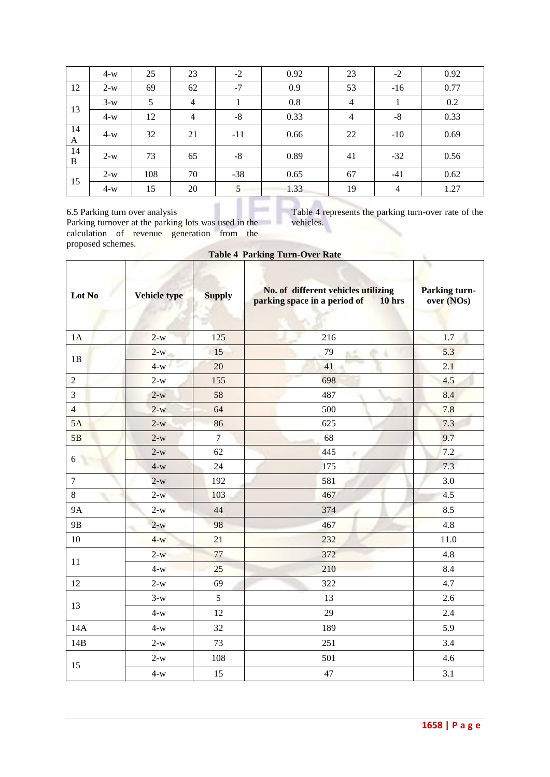|         | $4-w$ | 25  | 23             | $-2$  | 0.92 | 23             | $-2$           | 0.92 |
|---------|-------|-----|----------------|-------|------|----------------|----------------|------|
| 12      | $2-w$ | 69  | 62             | $-7$  | 0.9  | 53             | $-16$          | 0.77 |
|         | $3-w$ | 5   | $\overline{4}$ |       | 0.8  | $\overline{4}$ |                | 0.2  |
| 13      | $4-w$ | 12  | $\overline{4}$ | $-8$  | 0.33 | $\overline{4}$ | $-8$           | 0.33 |
| 14<br>A | $4-w$ | 32  | 21             | $-11$ | 0.66 | 22             | $-10$          | 0.69 |
| 14<br>B | $2-w$ | 73  | 65             | $-8$  | 0.89 | 41             | $-32$          | 0.56 |
|         | $2-w$ | 108 | 70             | $-38$ | 0.65 | 67             | $-41$          | 0.62 |
| 15      | $4-w$ | 15  | 20             | 5     | 1.33 | 19             | $\overline{4}$ | 1.27 |

6.5 Parking turn over analysis

Table 4 represents the parking turn-over rate of the vehicles.

χ

Parking turnover at the parking lots was used in the calculation of revenue generation from the proposed schemes.

| Lot No         | <b>Vehicle type</b> | <b>Supply</b>  | No. of different vehicles utilizing<br>parking space in a period of<br>$10$ hrs | <b>Parking turn-</b><br>over (NOs) |  |  |
|----------------|---------------------|----------------|---------------------------------------------------------------------------------|------------------------------------|--|--|
| 1A             | $2-w$               | 125            | 216                                                                             | 1.7                                |  |  |
|                | $2-w$               | 15             | 79                                                                              | 5.3                                |  |  |
| 1B             | $4-w$               | 20             | 41                                                                              | 2.1                                |  |  |
| $\overline{2}$ | $2-w$               | 155            | 698                                                                             | 4.5                                |  |  |
| $\overline{3}$ | $2-w$               | 58             | 487                                                                             | 8.4                                |  |  |
| $\overline{4}$ | $2-w$               | 64             | 500                                                                             | 7.8                                |  |  |
| 5A             | $2-w$               | 86             | 625                                                                             | 7.3                                |  |  |
| 5B             | $2-w$               | $\overline{7}$ | 68                                                                              | 9.7                                |  |  |
| 6              | $2-w$               | 62             | 445                                                                             | 7.2                                |  |  |
|                | $4-w$               | 24             | 175                                                                             | 7.3                                |  |  |
| $\overline{7}$ | $2-w$               | 192            | 581                                                                             | 3.0                                |  |  |
| $8\,$          | $2-w$               | 103            | 467                                                                             | 4.5                                |  |  |
| <b>9A</b>      | $2-w$               | 44             | 374                                                                             | 8.5                                |  |  |
| 9 <sub>B</sub> | $2-w$               | 98             | 467                                                                             | 4.8                                |  |  |
| 10             | $4-w$               | 21             | 232                                                                             | 11.0                               |  |  |
| 11             | $2-w$               | 77             | 372                                                                             | 4.8                                |  |  |
|                | $4-w$               | 25             | 210                                                                             | 8.4                                |  |  |
| 12             | $2-w$               | 69             | 322                                                                             | 4.7                                |  |  |
|                | $3-w$               | 5              | 13                                                                              | 2.6                                |  |  |
| 13             | $4-w$               | 12             | 29                                                                              | 2.4                                |  |  |
| 14A            | $4-w$               | 32             | 189                                                                             | 5.9                                |  |  |
| 14B            | $2-w$               | 73             | 251                                                                             | 3.4                                |  |  |
|                | $2-w$               | 108            | 501                                                                             | 4.6                                |  |  |
| 15             | $4-w$               | 15             | 47                                                                              | 3.1                                |  |  |

**Table 4 Parking Turn-Over Rate**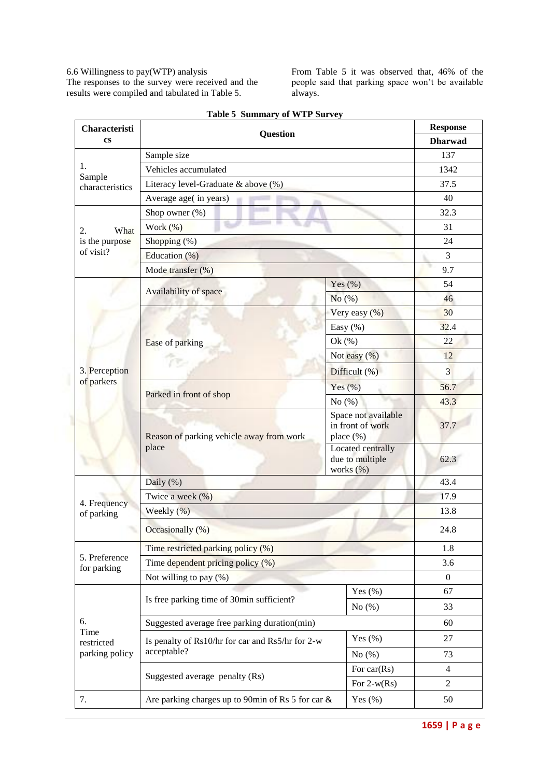6.6 Willingness to pay(WTP) analysis The responses to the survey were received and the results were compiled and tabulated in Table 5.

From Table 5 it was observed that, 46% of the people said that parking space won't be available always.

| Characteristi                | <b>Question</b>                                   | <b>Response</b>                                      |                                                   |                |  |  |  |  |
|------------------------------|---------------------------------------------------|------------------------------------------------------|---------------------------------------------------|----------------|--|--|--|--|
| <b>CS</b>                    |                                                   |                                                      |                                                   |                |  |  |  |  |
|                              | Sample size                                       | 137                                                  |                                                   |                |  |  |  |  |
| 1.<br>Sample                 | Vehicles accumulated                              |                                                      |                                                   | 1342           |  |  |  |  |
| characteristics              | Literacy level-Graduate & above (%)               |                                                      |                                                   | 37.5           |  |  |  |  |
|                              | Average age( in years)                            |                                                      |                                                   | 40             |  |  |  |  |
|                              | Shop owner $(\%)$                                 |                                                      |                                                   | 32.3           |  |  |  |  |
| What<br>2.                   | Work $(\%)$                                       |                                                      |                                                   | 31             |  |  |  |  |
| is the purpose               | Shopping $(\%)$                                   |                                                      |                                                   | 24             |  |  |  |  |
| of visit?                    | Education $(\%)$                                  |                                                      |                                                   | 3              |  |  |  |  |
|                              | Mode transfer (%)                                 |                                                      |                                                   | 9.7            |  |  |  |  |
|                              |                                                   |                                                      | Yes $(\% )$                                       | 54             |  |  |  |  |
|                              | Availability of space                             | No(%)                                                |                                                   | 46             |  |  |  |  |
|                              |                                                   |                                                      | Very easy (%)                                     | 30             |  |  |  |  |
|                              |                                                   |                                                      | Easy $(% )$                                       | 32.4           |  |  |  |  |
|                              | Ease of parking                                   | Ok $(\%)$                                            |                                                   | 22             |  |  |  |  |
| 3. Perception                |                                                   | Not easy $(\%)$                                      | 12                                                |                |  |  |  |  |
|                              |                                                   |                                                      | Difficult $(\%)$                                  | $\overline{3}$ |  |  |  |  |
| of parkers                   |                                                   |                                                      | Yes $(\%)$                                        | 56.7           |  |  |  |  |
|                              | Parked in front of shop                           |                                                      | No $(\%)$                                         | 43.3           |  |  |  |  |
|                              | Reason of parking vehicle away from work          | Space not available<br>in front of work<br>place (%) | 37.7                                              |                |  |  |  |  |
|                              | place                                             |                                                      | Located centrally<br>due to multiple<br>works (%) | 62.3           |  |  |  |  |
|                              | Daily (%)                                         |                                                      |                                                   | 43.4           |  |  |  |  |
| 4. Frequency                 | Twice a week $(\% )$                              |                                                      |                                                   | 17.9           |  |  |  |  |
| of parking                   | Weekly $(\%)$                                     | 13.8                                                 |                                                   |                |  |  |  |  |
|                              | Occasionally (%)                                  | 24.8                                                 |                                                   |                |  |  |  |  |
|                              | Time restricted parking policy (%)                |                                                      |                                                   | 1.8            |  |  |  |  |
| 5. Preference<br>for parking | Time dependent pricing policy (%)                 |                                                      |                                                   | 3.6            |  |  |  |  |
|                              | Not willing to pay $(\%)$                         |                                                      |                                                   |                |  |  |  |  |
|                              |                                                   |                                                      | Yes $(\% )$                                       | 67             |  |  |  |  |
|                              | Is free parking time of 30min sufficient?         |                                                      | No $(\%)$                                         | 33             |  |  |  |  |
| 6.                           | Suggested average free parking duration(min)      |                                                      |                                                   | 60             |  |  |  |  |
| Time<br>restricted           | Is penalty of Rs10/hr for car and Rs5/hr for 2-w  |                                                      | Yes $(\% )$                                       | 27             |  |  |  |  |
| parking policy               | acceptable?                                       |                                                      | No $(\%)$                                         | 73             |  |  |  |  |
|                              |                                                   |                                                      | For $car(Rs)$                                     | $\overline{4}$ |  |  |  |  |
|                              |                                                   | Suggested average penalty (Rs)                       |                                                   |                |  |  |  |  |
| 7.                           | Are parking charges up to 90min of Rs 5 for car & |                                                      | Yes $(\% )$                                       | 50             |  |  |  |  |

**Table 5 Summary of WTP Survey**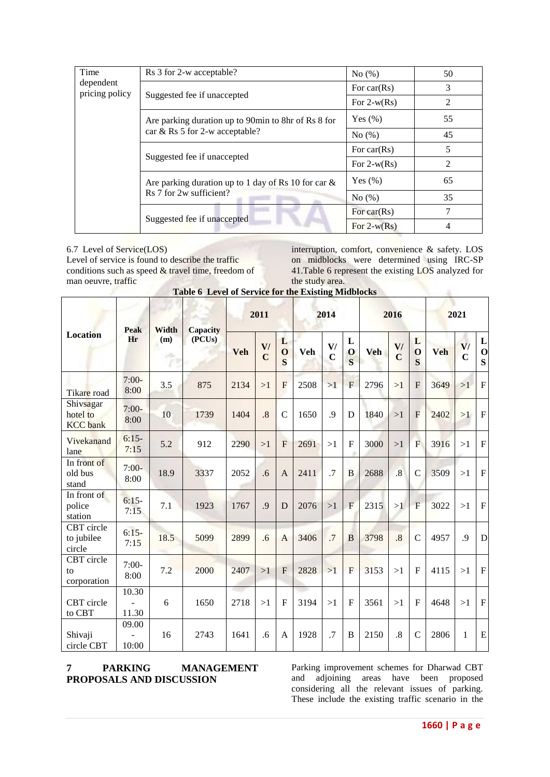| Time                        | Rs 3 for 2-w acceptable?                               | No $(\%)$     | 50             |
|-----------------------------|--------------------------------------------------------|---------------|----------------|
| dependent<br>pricing policy |                                                        | For $car(Rs)$ | 3              |
|                             | Suggested fee if unaccepted                            | For $2-w(Rs)$ | 2              |
|                             | Are parking duration up to 90min to 8hr of Rs 8 for    | Yes $(\%)$    | 55             |
|                             | car & Rs 5 for 2-w acceptable?                         | No $(\%)$     | 45             |
|                             |                                                        | For $car(Rs)$ | 5              |
|                             | Suggested fee if unaccepted                            | For $2-w(Rs)$ | $\overline{2}$ |
|                             | Are parking duration up to 1 day of Rs 10 for car $\&$ | Yes $(\% )$   | 65             |
|                             | Rs 7 for 2w sufficient?                                | No $(\%)$     | 35             |
|                             |                                                        | For $car(Rs)$ |                |
|                             | Suggested fee if unaccepted                            | For $2-w(Rs)$ | 4              |

#### 6.7 Level of Service(LOS)

Level of service is found to describe the traffic conditions such as speed & travel time, freedom of man oeuvre, traffic

interruption, comfort, convenience & safety. LOS on midblocks were determined using IRC-SP 41.Table 6 represent the existing LOS analyzed for the study area.

| <b>Table 6 Level of Service for the Existing Midblocks</b> |                 |                  |                 |            |                      |                                              |      |                      |                       |      |                      |                                 |            |                      |                           |
|------------------------------------------------------------|-----------------|------------------|-----------------|------------|----------------------|----------------------------------------------|------|----------------------|-----------------------|------|----------------------|---------------------------------|------------|----------------------|---------------------------|
|                                                            | Peak            | Width            | <b>Capacity</b> |            | 2011                 |                                              |      | 2014                 |                       |      | 2016                 |                                 |            | 2021                 |                           |
| <b>Location</b>                                            | Hr              | (m)<br>sta.<br>n | (PCUs)          | <b>Veh</b> | V/<br>$\overline{C}$ | L<br>$\mathbf{o}$<br>$\overline{\mathbf{S}}$ | Veh  | V/<br>$\overline{C}$ | L<br>$\mathbf 0$<br>S | Veh  | V/<br>$\overline{C}$ | L<br>$\mathbf 0$<br>$\mathbf S$ | <b>Veh</b> | V/<br>$\overline{C}$ | L<br>$\mathbf 0$<br>S     |
| Tikare road                                                | $7:00-$<br>8:00 | 3.5              | 875             | 2134       | >1                   | $\overline{F}$                               | 2508 | >1                   | $\overline{F}$        | 2796 | >1                   | ${\bf F}$                       | 3649       | >1                   | $\mathbf{F}$              |
| Shivsagar<br>hotel to<br><b>KCC</b> bank                   | $7:00-$<br>8:00 | 10               | 1739            | 1404       | $\overline{8}$       | $\overline{C}$                               | 1650 | .9                   | D                     | 1840 | >1                   | $\overline{F}$                  | 2402       | >1                   | $\mathbf F$               |
| Vivekanand<br>lane                                         | $6:15-$<br>7:15 | 5.2              | 912             | 2290       | >1                   | $\overline{F}$                               | 2691 | >1                   | $\mathbf{F}$          | 3000 | >1                   | $\overline{F}$                  | 3916       | >1                   | $\mathbf F$               |
| In front of<br>old bus<br>stand                            | $7:00-$<br>8:00 | 18.9             | 3337            | 2052       | .6                   | $\mathbf{A}$                                 | 2411 | $\overline{.7}$      | B                     | 2688 | $\overline{.8}$      | $\mathsf{C}$                    | 3509       | >1                   | $\mathbf F$               |
| In front of<br>police<br>station                           | $6:15-$<br>7:15 | 7.1              | 1923            | 1767       | .9                   | D                                            | 2076 | >1                   | $\mathbf{F}$          | 2315 | >1                   | $\overline{F}$                  | 3022       | >1                   | $\mathbf F$               |
| CBT circle<br>to jubilee<br>circle                         | $6:15-$<br>7:15 | 18.5             | 5099            | 2899       | .6                   | $\mathbf{A}$                                 | 3406 | .7                   | B                     | 3798 | $\overline{.8}$      | $\mathcal{C}$                   | 4957       | .9                   | D                         |
| CBT circle<br>to<br>corporation                            | $7:00-$<br>8:00 | 7.2              | 2000            | 2407       | >1                   | $\overline{F}$                               | 2828 | >1                   | $\overline{F}$        | 3153 | >1                   | $\overline{F}$                  | 4115       | >1                   | $\boldsymbol{\mathrm{F}}$ |
| CBT circle<br>to CBT                                       | 10.30<br>11.30  | 6                | 1650            | 2718       | >1                   | $\overline{F}$                               | 3194 | >1                   | $\overline{F}$        | 3561 | >1                   | $\mathbf{F}$                    | 4648       | >1                   | $\mathbf F$               |
| Shivaji<br>circle CBT                                      | 09.00<br>10:00  | 16               | 2743            | 1641       | .6                   | $\mathbf{A}$                                 | 1928 | $\cdot$ 7            | B                     | 2150 | $\boldsymbol{.8}$    | $\mathcal{C}$                   | 2806       | 1                    | ${\bf E}$                 |

**Table 6 Level of Service for the Existing Midblocks**

# **7 PARKING MANAGEMENT PROPOSALS AND DISCUSSION**

Parking improvement schemes for Dharwad CBT and adjoining areas have been proposed considering all the relevant issues of parking. These include the existing traffic scenario in the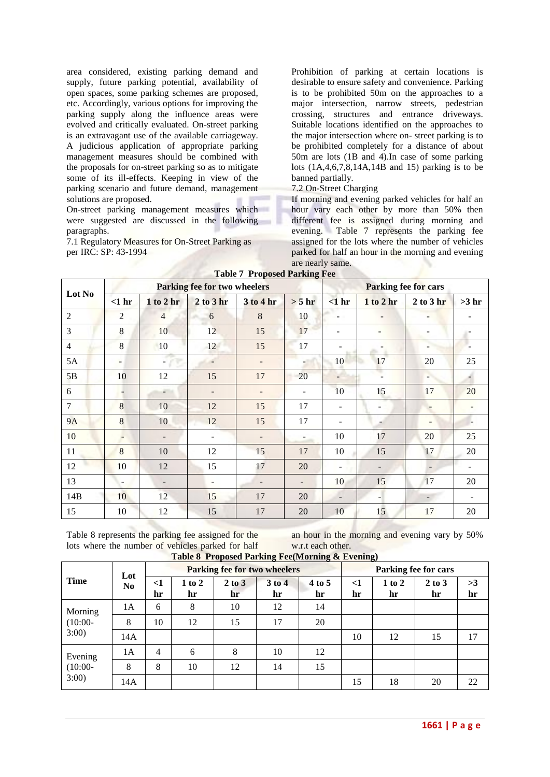area considered, existing parking demand and supply, future parking potential, availability of open spaces, some parking schemes are proposed, etc. Accordingly, various options for improving the parking supply along the influence areas were evolved and critically evaluated. On-street parking is an extravagant use of the available carriageway. A judicious application of appropriate parking management measures should be combined with the proposals for on-street parking so as to mitigate some of its ill-effects. Keeping in view of the parking scenario and future demand, management solutions are proposed.

On-street parking management measures which were suggested are discussed in the following paragraphs.

7.1 Regulatory Measures for On-Street Parking as per IRC: SP: 43-1994

Prohibition of parking at certain locations is desirable to ensure safety and convenience. Parking is to be prohibited 50m on the approaches to a major intersection, narrow streets, pedestrian crossing, structures and entrance driveways. Suitable locations identified on the approaches to the major intersection where on- street parking is to be prohibited completely for a distance of about 50m are lots (1B and 4).In case of some parking lots (1A,4,6,7,8,14A,14B and 15) parking is to be banned partially.

#### 7.2 On-Street Charging

If morning and evening parked vehicles for half an hour vary each other by more than 50% then different fee is assigned during morning and evening. Table 7 represents the parking fee assigned for the lots where the number of vehicles parked for half an hour in the morning and evening are nearly same.

| Lot No         |                          |                          | Parking fee for two wheelers | <b>Parking fee for cars</b> |                   |                          |                   |                              |         |
|----------------|--------------------------|--------------------------|------------------------------|-----------------------------|-------------------|--------------------------|-------------------|------------------------------|---------|
|                | $<1$ hr                  | 1 to 2 hr                | 2 to 3 hr                    | 3 to 4 hr                   | $> 5$ hr          | $<1$ hr                  | 1 to 2 hr         | 2 to 3 hr                    | $>3$ hr |
| $\overline{2}$ | $\overline{2}$           | $\overline{4}$           | 6                            | 8                           | 10                |                          |                   | $\qquad \qquad \blacksquare$ | ۰       |
| 3              | 8                        | 10                       | 12                           | 15                          | 17                | ۰                        |                   |                              |         |
| $\overline{4}$ | 8                        | <sup>10</sup>            | 12                           | 15                          | 17                |                          |                   |                              |         |
| 5A             | $\overline{\phantom{a}}$ | $\overline{\phantom{a}}$ | $\frac{1}{2}$                | $\qquad \qquad -$           |                   | 10                       | 17                | 20                           | 25      |
| 5B             | 10                       | 12                       | 15                           | 17                          | 20                |                          |                   | $\overline{\phantom{0}}$     |         |
| 6              |                          | $-$                      | $\overline{\phantom{a}}$     | $\qquad \qquad -$           | $\qquad \qquad -$ | 10                       | 15                | 17                           | 20      |
| 7              | 8                        | 10                       | 12                           | 15                          | 17                | $\overline{\phantom{a}}$ | ۰                 |                              |         |
| <b>9A</b>      | 8                        | 10                       | 12                           | 15                          | 17                | ٠                        |                   | $\overline{\phantom{a}}$     |         |
| 10             |                          | $\overline{\phantom{a}}$ | $\overline{\phantom{a}}$     | $\qquad \qquad -$           | $\qquad \qquad -$ | 10                       | 17                | 20                           | 25      |
| 11             | 8                        | 10                       | 12                           | 15                          | 17                | 10                       | 15                | 17                           | 20      |
| 12             | 10                       | 12                       | 15                           | 17                          | 20                | $\qquad \qquad -$        | $\qquad \qquad -$ | $\overline{\phantom{a}}$     |         |
| 13             | $\overline{\phantom{0}}$ | $\overline{\phantom{a}}$ | $\overline{\phantom{a}}$     | $\overline{\phantom{a}}$    |                   | 10                       | 15                | 17                           | 20      |
| 14B            | 10                       | 12                       | 15                           | 17                          | 20                |                          |                   | -                            |         |
| 15             | 10                       | 12                       | 15                           | 17                          | 20                | 10                       | 15                | 17                           | 20      |

|  |  | <b>Table 7 Proposed Parking Fee</b> |
|--|--|-------------------------------------|
|--|--|-------------------------------------|

Table 8 represents the parking fee assigned for the lots where the number of vehicles parked for half an hour in the morning and evening vary by 50% w.r.t each other.

|                       | Lot | <b>Parking fee for two wheelers</b> |              |              |                  |              | Parking fee for cars |              |                  |          |
|-----------------------|-----|-------------------------------------|--------------|--------------|------------------|--------------|----------------------|--------------|------------------|----------|
| <b>Time</b>           | No. | $<$ 1<br>hr                         | 1 to 2<br>hr | 2 to 3<br>hr | $3$ to $4$<br>hr | 4 to 5<br>hr | $\leq$ 1<br>hr       | 1 to 2<br>hr | $2$ to $3$<br>hr | >3<br>hr |
| Morning<br>$(10:00 -$ | 1A  | 6                                   | 8            | 10           | 12               | 14           |                      |              |                  |          |
|                       | 8   | 10                                  | 12           | 15           | 17               | 20           |                      |              |                  |          |
| 3:00)                 | 14A |                                     |              |              |                  |              | 10                   | 12           | 15               | 17       |
| Evening               | 1А  | 4                                   | 6            | 8            | 10               | 12           |                      |              |                  |          |
| $(10:00 -$<br>3:00)   | 8   | 8                                   | 10           | 12           | 14               | 15           |                      |              |                  |          |
|                       | 14A |                                     |              |              |                  |              | 15                   | 18           | 20               | 22       |

**Table 8 Proposed Parking Fee(Morning & Evening)**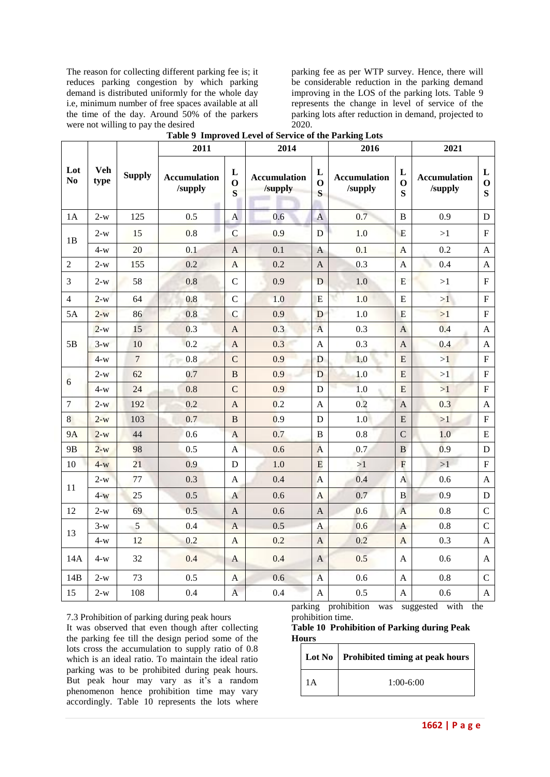The reason for collecting different parking fee is; it reduces parking congestion by which parking demand is distributed uniformly for the whole day i.e, minimum number of free spaces available at all the time of the day. Around 50% of the parkers were not willing to pay the desired

parking fee as per WTP survey. Hence, there will be considerable reduction in the parking demand improving in the LOS of the parking lots. Table 9 represents the change in level of service of the parking lots after reduction in demand, projected to 2020.

|                       |             |                | 2011                           |                       | 2014                           |                       | 2016                           |                       | 2021                           |                       |
|-----------------------|-------------|----------------|--------------------------------|-----------------------|--------------------------------|-----------------------|--------------------------------|-----------------------|--------------------------------|-----------------------|
| Lot<br>N <sub>0</sub> | Veh<br>type | <b>Supply</b>  | <b>Accumulation</b><br>/supply | L<br>$\mathbf 0$<br>S | <b>Accumulation</b><br>/supply | L<br>$\mathbf 0$<br>S | <b>Accumulation</b><br>/supply | L<br>$\mathbf 0$<br>S | <b>Accumulation</b><br>/supply | L<br>$\mathbf 0$<br>S |
| 1A                    | $2-w$       | 125            | 0.5                            | A                     | 0.6                            | $\mathbf{A}$          | 0.7                            | B                     | 0.9                            | D                     |
| 1B                    | $2-w$       | 15             | 0.8                            | $\overline{C}$        | 0.9                            | D                     | 1.0                            | E                     | >1                             | $\mathbf{F}$          |
|                       | $4-w$       | 20             | 0.1                            | A                     | 0.1                            | $\mathbf{A}$          | 0.1                            | $\overline{A}$        | 0.2                            | A                     |
| $\overline{2}$        | $2-w$       | 155            | 0.2                            | A                     | 0.2                            | $\mathbf{A}$          | 0.3                            | A                     | 0.4                            | A                     |
| 3                     | $2-w$       | 58             | 0.8                            | C                     | 0.9                            | D                     | 1.0                            | E                     | >1                             | F                     |
| $\overline{4}$        | $2-w$       | 64             | 0.8                            | $\mathcal{C}$         | 1.0                            | E                     | 1.0                            | E                     | >1                             | $F_{\rm}$             |
| 5A                    | $2-w$       | 86             | 0.8                            | $\mathsf{C}$          | 0.9                            | D                     | 1.0                            | ${\bf E}$             | >1                             | $\mathbf F$           |
|                       | $2-w$       | 15             | 0.3                            | A                     | 0.3                            | $\overline{A}$        | 0.3                            | $\overline{A}$        | 0.4                            | $\mathbf{A}$          |
| 5B                    | $3-w$       | 10             | 0.2                            | A                     | 0.3                            | A                     | 0.3                            | $\mathbf{A}$          | 0.4                            | A                     |
|                       | $4-w$       | $\overline{7}$ | 0.8                            | $\overline{C}$        | 0.9                            | D                     | 1.0                            | ${\bf E}$             | >1                             | $\mathbf{F}$          |
| 6                     | $2-w$       | 62             | 0.7                            | B                     | 0.9                            | D                     | 1.0                            | E                     | >1                             | $\mathbf{F}$          |
|                       | $4-w$       | 24             | 0.8                            | $\overline{C}$        | 0.9                            | D                     | 1.0                            | E                     | >1                             | $\mathbf F$           |
| $\overline{7}$        | $2-w$       | 192            | 0.2                            | A                     | 0.2                            | A                     | 0.2                            | A                     | 0.3                            | A                     |
| 8                     | $2-w$       | 103            | 0.7                            | B                     | 0.9                            | D                     | 1.0                            | E                     | >1                             | F                     |
| <b>9A</b>             | $2-w$       | 44             | 0.6                            | A                     | 0.7                            | $\, {\bf B}$          | 0.8                            | $\overline{C}$        | 1.0                            | E                     |
| <b>9B</b>             | $2-w$       | 98             | 0.5                            | A                     | 0.6                            | $\overline{A}$        | 0.7                            | $\, {\bf B}$          | 0.9                            | $\mathbf D$           |
| 10                    | $4-w$       | 21             | 0.9                            | D                     | 1.0                            | E                     | >1                             | F                     | >1                             | $\mathbf{F}$          |
|                       | $2-w$       | 77             | 0.3                            | A                     | 0.4                            | $\overline{A}$        | 0.4                            | $\overline{A}$        | 0.6                            | $\mathbf{A}$          |
| 11                    | $4-w$       | 25             | 0.5                            | A                     | 0.6                            | $\overline{A}$        | 0.7                            | $\bf{B}$              | 0.9                            | $\mathbf D$           |
| 12                    | $2-w$       | 69             | 0.5                            | $\overline{A}$        | 0.6                            | $\mathbf{A}$          | 0.6                            | $\overline{A}$        | 0.8                            | $\mathbf C$           |
|                       | $3-w$       | 5              | 0.4                            | A                     | 0.5                            | $\overline{A}$        | 0.6                            | $\mathsf{A}$          | 0.8                            | $\mathbf C$           |
| 13                    | $4-w$       | 12             | 0.2                            | A                     | 0.2                            | $\mathbf{A}$          | 0.2                            | $\mathbf{A}$          | 0.3                            | $\mathbf{A}$          |
| 14A                   | $4-w$       | 32             | 0.4                            | A                     | 0.4                            | A                     | 0.5                            | A                     | 0.6                            | $\mathbf{A}$          |
| 14B                   | $2-w$       | 73             | 0.5                            | A                     | 0.6                            | $\overline{A}$        | 0.6                            | A                     | 0.8                            | $\mathbf C$           |
| 15                    | $2-w$       | 108            | 0.4                            | $\overline{A}$        | 0.4                            | $\mathbf{A}$          | 0.5                            | $\mathbf{A}$          | 0.6                            | $\mathbf{A}$          |

**Table 9 Improved Level of Service of the Parking Lots**

7.3 Prohibition of parking during peak hours

It was observed that even though after collecting the parking fee till the design period some of the lots cross the accumulation to supply ratio of 0.8 which is an ideal ratio. To maintain the ideal ratio parking was to be prohibited during peak hours. But peak hour may vary as it's a random phenomenon hence prohibition time may vary accordingly. Table 10 represents the lots where

parking prohibition was suggested with the prohibition time.

#### **Table 10 Prohibition of Parking during Peak Hours**

|     | Lot No Prohibited timing at peak hours |
|-----|----------------------------------------|
| 1 A | $1:00-6:00$                            |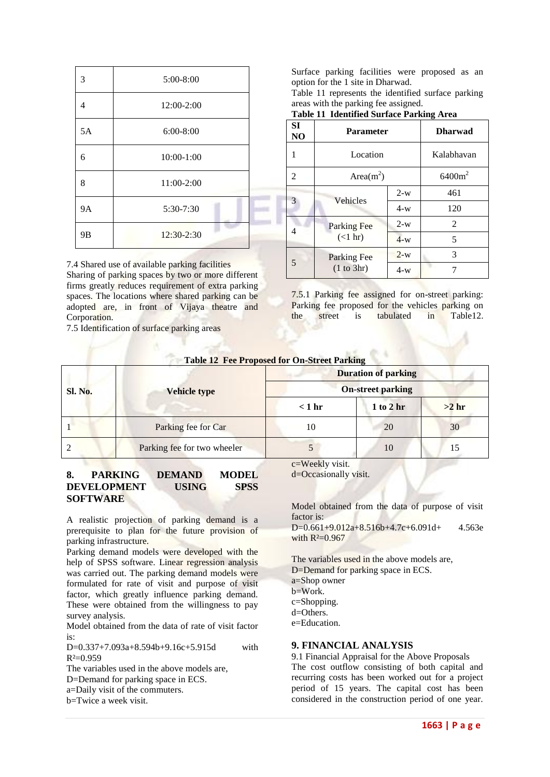| 3              | 5:00-8:00    |  |
|----------------|--------------|--|
| 4              | 12:00-2:00   |  |
| 5A             | $6:00-8:00$  |  |
| 6              | 10:00-1:00   |  |
| 8              | 11:00-2:00   |  |
| <b>9A</b>      | 5:30-7:30    |  |
| 9 <sub>B</sub> | $12:30-2:30$ |  |

7.4 Shared use of available parking facilities Sharing of parking spaces by two or more different firms greatly reduces requirement of extra parking spaces. The locations where shared parking can be adopted are, in front of Vijaya theatre and Corporation.

7.5 Identification of surface parking areas

Surface parking facilities were proposed as an option for the 1 site in Dharwad.

Table 11 represents the identified surface parking areas with the parking fee assigned.

**Table 11 Identified Surface Parking Area**

| SI<br>NO | <b>Parameter</b>          | <b>Dharwad</b>     |                |
|----------|---------------------------|--------------------|----------------|
| 1        | Location                  | Kalabhavan         |                |
| 2        | Area $(m^2)$              | 6400m <sup>2</sup> |                |
| 3        | Vehicles                  | $2-w$              | 461            |
|          |                           | $4-w$              | 120            |
|          | Parking Fee               | $2-w$              | $\overline{2}$ |
|          | $(<1$ hr)                 |                    | 5              |
|          | Parking Fee<br>(1 to 3hr) | $2-w$              | 3              |
|          |                           | $4-w$              |                |

7.5.1 Parking fee assigned for on-street parking: Parking fee proposed for the vehicles parking on the street is tabulated in Table12.

|  |  |  | <b>Table 12 Fee Proposed for On-Street Parking</b> |  |
|--|--|--|----------------------------------------------------|--|
|--|--|--|----------------------------------------------------|--|

|                |                             | <b>Duration of parking</b><br><b>On-street parking</b> |               |         |  |  |
|----------------|-----------------------------|--------------------------------------------------------|---------------|---------|--|--|
| <b>Sl. No.</b> | <b>Vehicle type</b>         |                                                        |               |         |  |  |
|                |                             | $< 1$ hr                                               | $1$ to $2$ hr | $>2$ hr |  |  |
|                | Parking fee for Car         | 10                                                     | 20            | 30      |  |  |
|                | Parking fee for two wheeler |                                                        | 10            |         |  |  |

#### **8. PARKING DEMAND MODEL DEVELOPMENT USING SPSS SOFTWARE**

A realistic projection of parking demand is a prerequisite to plan for the future provision of parking infrastructure.

Parking demand models were developed with the help of SPSS software. Linear regression analysis was carried out. The parking demand models were formulated for rate of visit and purpose of visit factor, which greatly influence parking demand. These were obtained from the willingness to pay survey analysis.

Model obtained from the data of rate of visit factor is:

D=0.337+7.093a+8.594b+9.16c+5.915d with  $R^2=0.959$ 

The variables used in the above models are, D=Demand for parking space in ECS.

a=Daily visit of the commuters.

b=Twice a week visit.

c=Weekly visit.

d=Occasionally visit.

Model obtained from the data of purpose of visit factor is: D=0.661+9.012a+8.516b+4.7c+6.091d+ 4.563e with  $R^2=0.967$ 

The variables used in the above models are, D=Demand for parking space in ECS. a=Shop owner b=Work. c=Shopping.  $d=O$ thers. e=Education.

#### **9. FINANCIAL ANALYSIS**

9.1 Financial Appraisal for the Above Proposals The cost outflow consisting of both capital and recurring costs has been worked out for a project period of 15 years. The capital cost has been considered in the construction period of one year.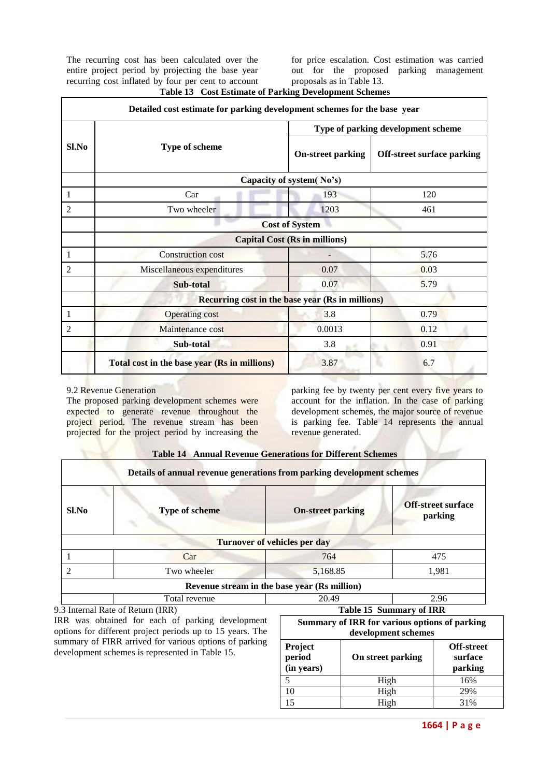The recurring cost has been calculated over the entire project period by projecting the base year recurring cost inflated by four per cent to account for price escalation. Cost estimation was carried out for the proposed parking management proposals as in Table 13.

|       | Detailed cost estimate for parking development schemes for the base year |                                                  |                                   |  |  |
|-------|--------------------------------------------------------------------------|--------------------------------------------------|-----------------------------------|--|--|
|       |                                                                          | Type of parking development scheme               |                                   |  |  |
| Sl.No | <b>Type of scheme</b>                                                    | <b>On-street parking</b>                         | <b>Off-street surface parking</b> |  |  |
|       |                                                                          | Capacity of system(No's)                         |                                   |  |  |
| 1     | Car                                                                      | 193                                              | 120                               |  |  |
| 2     | Two wheeler                                                              | 1203                                             | 461                               |  |  |
|       |                                                                          | <b>Cost of System</b>                            |                                   |  |  |
|       |                                                                          | <b>Capital Cost (Rs in millions)</b>             |                                   |  |  |
| 1     | <b>Construction cost</b>                                                 |                                                  | 5.76                              |  |  |
| 2     | Miscellaneous expenditures                                               | 0.07                                             | 0.03                              |  |  |
|       | Sub-total                                                                | 0.07                                             | 5.79                              |  |  |
|       |                                                                          | Recurring cost in the base year (Rs in millions) |                                   |  |  |
| 1     | <b>Operating cost</b>                                                    | 3.8                                              | 0.79                              |  |  |
| 2     | Maintenance cost                                                         | 0.0013                                           | 0.12                              |  |  |
|       | Sub-total                                                                | 3.8                                              | 0.91                              |  |  |
|       | Total cost in the base year (Rs in millions)                             | 3.87                                             | 6.7                               |  |  |
|       |                                                                          |                                                  |                                   |  |  |

#### **Table 13 Cost Estimate of Parking Development Schemes**

## 9.2 Revenue Generation

The proposed parking development schemes were expected to generate revenue throughout the project period. The revenue stream has been projected for the project period by increasing the

parking fee by twenty per cent every five years to account for the inflation. In the case of parking development schemes, the major source of revenue is parking fee. Table 14 represents the annual revenue generated.

|  |  |  | <b>Table 14 Annual Revenue Generations for Different Schemes</b> |
|--|--|--|------------------------------------------------------------------|
|--|--|--|------------------------------------------------------------------|

| <b>On-street parking</b>     | <b>Off-street surface</b><br>parking                                                                                                                 |
|------------------------------|------------------------------------------------------------------------------------------------------------------------------------------------------|
| Turnover of vehicles per day |                                                                                                                                                      |
| 764                          | 475                                                                                                                                                  |
| 5,168.85                     | 1,981                                                                                                                                                |
|                              |                                                                                                                                                      |
| 20.49                        | 2.96                                                                                                                                                 |
|                              | Table 15 Summary of IRR                                                                                                                              |
|                              | Revenue stream in the base year (Rs million)<br>$\sim$<br>$\overline{a}$ and $\overline{a}$ and $\overline{a}$ and $\overline{a}$ and $\overline{a}$ |

IRR was obtained for each of parking development options for different project periods up to 15 years. The summary of FIRR arrived for various options of parking development schemes is represented in Table 15.

| rabic re-banningry or man.                                           |                   |                                  |  |  |  |
|----------------------------------------------------------------------|-------------------|----------------------------------|--|--|--|
| Summary of IRR for various options of parking<br>development schemes |                   |                                  |  |  |  |
| Project<br>period<br>(in years)                                      | On street parking | Off-street<br>surface<br>parking |  |  |  |
| 5                                                                    | High              | 16%                              |  |  |  |
| 10                                                                   | High              | 29%                              |  |  |  |
| 15                                                                   | High              | 31%                              |  |  |  |